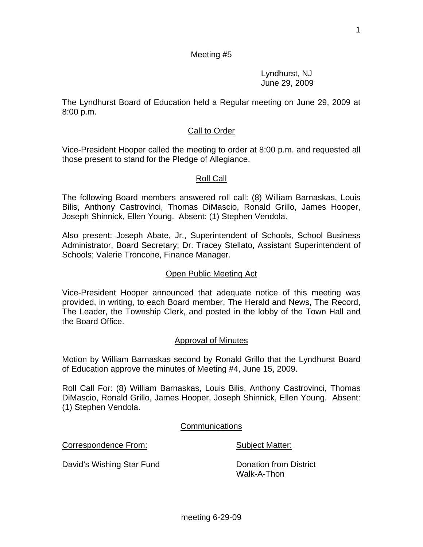1

# Meeting #5

 Lyndhurst, NJ June 29, 2009

The Lyndhurst Board of Education held a Regular meeting on June 29, 2009 at 8:00 p.m.

#### Call to Order

Vice-President Hooper called the meeting to order at 8:00 p.m. and requested all those present to stand for the Pledge of Allegiance.

#### Roll Call

The following Board members answered roll call: (8) William Barnaskas, Louis Bilis, Anthony Castrovinci, Thomas DiMascio, Ronald Grillo, James Hooper, Joseph Shinnick, Ellen Young. Absent: (1) Stephen Vendola.

Also present: Joseph Abate, Jr., Superintendent of Schools, School Business Administrator, Board Secretary; Dr. Tracey Stellato, Assistant Superintendent of Schools; Valerie Troncone, Finance Manager.

#### Open Public Meeting Act

Vice-President Hooper announced that adequate notice of this meeting was provided, in writing, to each Board member, The Herald and News, The Record, The Leader, the Township Clerk, and posted in the lobby of the Town Hall and the Board Office.

#### Approval of Minutes

Motion by William Barnaskas second by Ronald Grillo that the Lyndhurst Board of Education approve the minutes of Meeting #4, June 15, 2009.

Roll Call For: (8) William Barnaskas, Louis Bilis, Anthony Castrovinci, Thomas DiMascio, Ronald Grillo, James Hooper, Joseph Shinnick, Ellen Young. Absent: (1) Stephen Vendola.

**Communications** 

Correspondence From: Subject Matter:

David's Wishing Star Fund Donation from District

Walk-A-Thon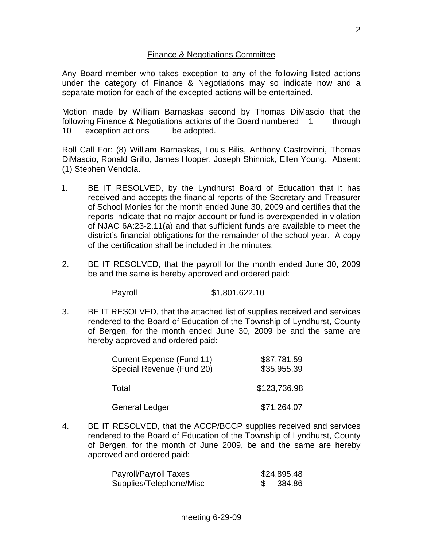# Finance & Negotiations Committee

Any Board member who takes exception to any of the following listed actions under the category of Finance & Negotiations may so indicate now and a separate motion for each of the excepted actions will be entertained.

Motion made by William Barnaskas second by Thomas DiMascio that the following Finance & Negotiations actions of the Board numbered 1 through 10 exception actions be adopted.

Roll Call For: (8) William Barnaskas, Louis Bilis, Anthony Castrovinci, Thomas DiMascio, Ronald Grillo, James Hooper, Joseph Shinnick, Ellen Young. Absent: (1) Stephen Vendola.

- 1. BE IT RESOLVED, by the Lyndhurst Board of Education that it has received and accepts the financial reports of the Secretary and Treasurer of School Monies for the month ended June 30, 2009 and certifies that the reports indicate that no major account or fund is overexpended in violation of NJAC 6A:23-2.11(a) and that sufficient funds are available to meet the district's financial obligations for the remainder of the school year. A copy of the certification shall be included in the minutes.
- 2. BE IT RESOLVED, that the payroll for the month ended June 30, 2009 be and the same is hereby approved and ordered paid:

Payroll \$1,801,622.10

3. BE IT RESOLVED, that the attached list of supplies received and services rendered to the Board of Education of the Township of Lyndhurst, County of Bergen, for the month ended June 30, 2009 be and the same are hereby approved and ordered paid:

| Current Expense (Fund 11)<br>Special Revenue (Fund 20) | \$87,781.59<br>\$35,955.39 |
|--------------------------------------------------------|----------------------------|
| Total                                                  | \$123,736.98               |
| <b>General Ledger</b>                                  | \$71,264.07                |

4. BE IT RESOLVED, that the ACCP/BCCP supplies received and services rendered to the Board of Education of the Township of Lyndhurst, County of Bergen, for the month of June 2009, be and the same are hereby approved and ordered paid:

| Payroll/Payroll Taxes   | \$24,895.48 |
|-------------------------|-------------|
| Supplies/Telephone/Misc | 384.86      |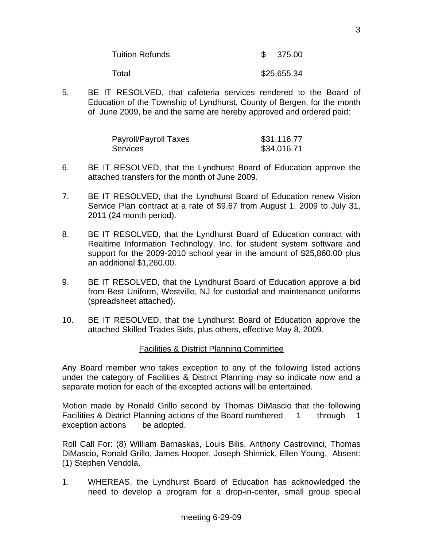| <b>Tuition Refunds</b> | \$375.00 |
|------------------------|----------|
|                        |          |

Total \$25,655.34

5. BE IT RESOLVED, that cafeteria services rendered to the Board of Education of the Township of Lyndhurst, County of Bergen, for the month of June 2009, be and the same are hereby approved and ordered paid:

| Payroll/Payroll Taxes | \$31,116.77 |
|-----------------------|-------------|
| <b>Services</b>       | \$34,016.71 |

- 6. BE IT RESOLVED, that the Lyndhurst Board of Education approve the attached transfers for the month of June 2009.
- 7. BE IT RESOLVED, that the Lyndhurst Board of Education renew Vision Service Plan contract at a rate of \$9.67 from August 1, 2009 to July 31, 2011 (24 month period).
- 8. BE IT RESOLVED, that the Lyndhurst Board of Education contract with Realtime Information Technology, Inc. for student system software and support for the 2009-2010 school year in the amount of \$25,860.00 plus an additional \$1,260.00.
- 9. BE IT RESOLVED, that the Lyndhurst Board of Education approve a bid from Best Uniform, Westville, NJ for custodial and maintenance uniforms (spreadsheet attached).
- 10. BE IT RESOLVED, that the Lyndhurst Board of Education approve the attached Skilled Trades Bids, plus others, effective May 8, 2009.

# Facilities & District Planning Committee

Any Board member who takes exception to any of the following listed actions under the category of Facilities & District Planning may so indicate now and a separate motion for each of the excepted actions will be entertained.

Motion made by Ronald Grillo second by Thomas DiMascio that the following Facilities & District Planning actions of the Board numbered 1 through 1 exception actions be adopted.

Roll Call For: (8) William Barnaskas, Louis Bilis, Anthony Castrovinci, Thomas DiMascio, Ronald Grillo, James Hooper, Joseph Shinnick, Ellen Young. Absent: (1) Stephen Vendola.

1. WHEREAS, the Lyndhurst Board of Education has acknowledged the need to develop a program for a drop-in-center, small group special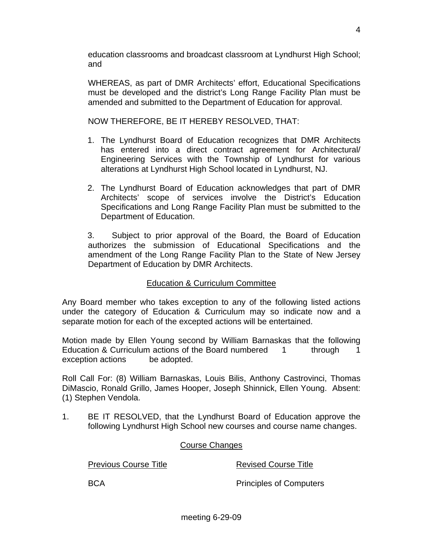education classrooms and broadcast classroom at Lyndhurst High School; and

 WHEREAS, as part of DMR Architects' effort, Educational Specifications must be developed and the district's Long Range Facility Plan must be amended and submitted to the Department of Education for approval.

NOW THEREFORE, BE IT HEREBY RESOLVED, THAT:

- 1. The Lyndhurst Board of Education recognizes that DMR Architects has entered into a direct contract agreement for Architectural/ Engineering Services with the Township of Lyndhurst for various alterations at Lyndhurst High School located in Lyndhurst, NJ.
- 2. The Lyndhurst Board of Education acknowledges that part of DMR Architects' scope of services involve the District's Education Specifications and Long Range Facility Plan must be submitted to the Department of Education.

 3. Subject to prior approval of the Board, the Board of Education authorizes the submission of Educational Specifications and the amendment of the Long Range Facility Plan to the State of New Jersey Department of Education by DMR Architects.

# Education & Curriculum Committee

Any Board member who takes exception to any of the following listed actions under the category of Education & Curriculum may so indicate now and a separate motion for each of the excepted actions will be entertained.

Motion made by Ellen Young second by William Barnaskas that the following Education & Curriculum actions of the Board numbered 1 through 1 exception actions be adopted.

Roll Call For: (8) William Barnaskas, Louis Bilis, Anthony Castrovinci, Thomas DiMascio, Ronald Grillo, James Hooper, Joseph Shinnick, Ellen Young. Absent: (1) Stephen Vendola.

1. BE IT RESOLVED, that the Lyndhurst Board of Education approve the following Lyndhurst High School new courses and course name changes.

# Course Changes

Previous Course Title **Revised Course Title** 

BCA Principles of Computers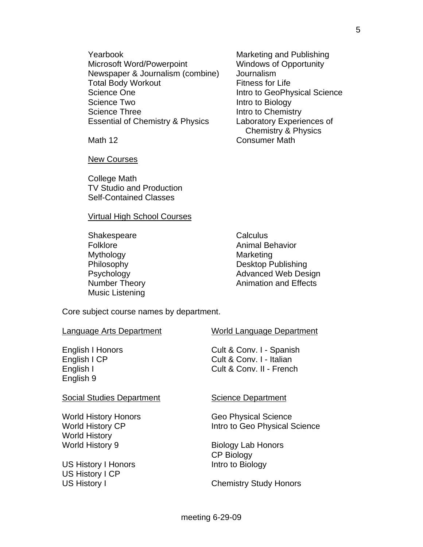Yearbook Marketing and Publishing Microsoft Word/Powerpoint Windows of Opportunity Newspaper & Journalism (combine) Journalism Total Body Workout Fitness for Life Science One **Intro to GeoPhysical Science** Science Two **Intro to Biology** Science Three **Intro to Chemistry** Essential of Chemistry & Physics Laboratory Experiences of

New Courses

 College Math TV Studio and Production Self-Contained Classes

#### Virtual High School Courses

Shakespeare Calculus Mythology Marketing Music Listening

 Chemistry & Physics Math 12 **Consumer Math** 

Folklore **Animal Behavior** Animal Behavior Philosophy **Desktop Publishing** Psychology **Advanced Web Design** Number Theory **Animation** and Effects

Core subject course names by department.

| Language Arts Department                                                       | <b>World Language Department</b>                                                 |
|--------------------------------------------------------------------------------|----------------------------------------------------------------------------------|
| <b>English I Honors</b><br>English I CP<br>English I<br>English 9              | Cult & Conv. I - Spanish<br>Cult & Conv. I - Italian<br>Cult & Conv. II - French |
| <b>Social Studies Department</b>                                               | <b>Science Department</b>                                                        |
| <b>World History Honors</b><br><b>World History CP</b><br><b>World History</b> | <b>Geo Physical Science</b><br>Intro to Geo Physical Science                     |
| <b>World History 9</b>                                                         | <b>Biology Lab Honors</b><br><b>CP Biology</b>                                   |
| <b>US History I Honors</b><br>US History I CP                                  | Intro to Biology                                                                 |

US History I Chemistry Study Honors

meeting 6-29-09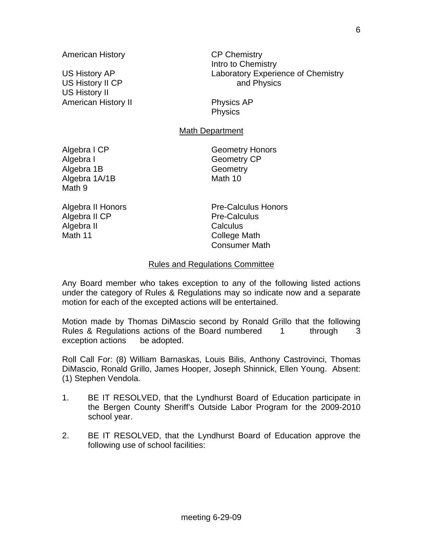US History II CP and Physics US History II American History II Physics AP

 Intro to Chemistry US History AP Laboratory Experience of Chemistry

**Physics** 

# Math Department

Algebra I Geometry CP Algebra 1B Geometry Algebra 1A/1B Math 10 Math 9

Algebra I CP Geometry Honors

Algebra II CP Pre-Calculus Algebra II Calculus Math 11 College Math

Algebra II Honors **Pre-Calculus Honors** Consumer Math

#### Rules and Regulations Committee

Any Board member who takes exception to any of the following listed actions under the category of Rules & Regulations may so indicate now and a separate motion for each of the excepted actions will be entertained.

Motion made by Thomas DiMascio second by Ronald Grillo that the following Rules & Regulations actions of the Board numbered 1 through 3 exception actions be adopted.

Roll Call For: (8) William Barnaskas, Louis Bilis, Anthony Castrovinci, Thomas DiMascio, Ronald Grillo, James Hooper, Joseph Shinnick, Ellen Young. Absent: (1) Stephen Vendola.

- 1. BE IT RESOLVED, that the Lyndhurst Board of Education participate in the Bergen County Sheriff's Outside Labor Program for the 2009-2010 school year.
- 2. BE IT RESOLVED, that the Lyndhurst Board of Education approve the following use of school facilities: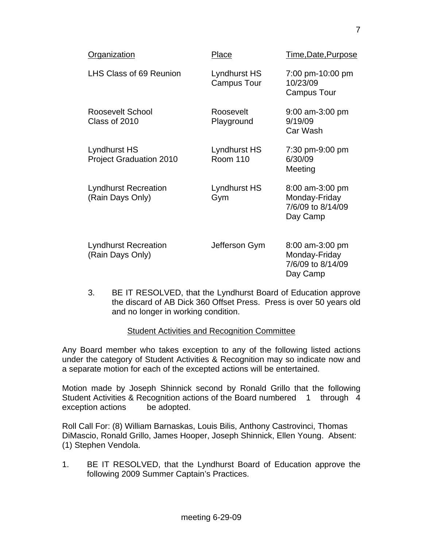| Organization                                    | Place                              | Time, Date, Purpose                                               |
|-------------------------------------------------|------------------------------------|-------------------------------------------------------------------|
| LHS Class of 69 Reunion                         | Lyndhurst HS<br><b>Campus Tour</b> | 7:00 pm-10:00 pm<br>10/23/09<br><b>Campus Tour</b>                |
| Roosevelt School<br>Class of 2010               | Roosevelt<br>Playground            | $9:00$ am-3:00 pm<br>9/19/09<br>Car Wash                          |
| Lyndhurst HS<br><b>Project Graduation 2010</b>  | Lyndhurst HS<br><b>Room 110</b>    | 7:30 pm-9:00 pm<br>6/30/09<br>Meeting                             |
| <b>Lyndhurst Recreation</b><br>(Rain Days Only) | Lyndhurst HS<br>Gym                | 8:00 am-3:00 pm<br>Monday-Friday<br>7/6/09 to 8/14/09<br>Day Camp |
| <b>Lyndhurst Recreation</b><br>(Rain Days Only) | Jefferson Gym                      | 8:00 am-3:00 pm<br>Monday-Friday<br>7/6/09 to 8/14/09<br>Day Camp |

 3. BE IT RESOLVED, that the Lyndhurst Board of Education approve the discard of AB Dick 360 Offset Press. Press is over 50 years old and no longer in working condition.

# Student Activities and Recognition Committee

Any Board member who takes exception to any of the following listed actions under the category of Student Activities & Recognition may so indicate now and a separate motion for each of the excepted actions will be entertained.

Motion made by Joseph Shinnick second by Ronald Grillo that the following Student Activities & Recognition actions of the Board numbered 1 through 4 exception actions be adopted.

Roll Call For: (8) William Barnaskas, Louis Bilis, Anthony Castrovinci, Thomas DiMascio, Ronald Grillo, James Hooper, Joseph Shinnick, Ellen Young. Absent: (1) Stephen Vendola.

1. BE IT RESOLVED, that the Lyndhurst Board of Education approve the following 2009 Summer Captain's Practices.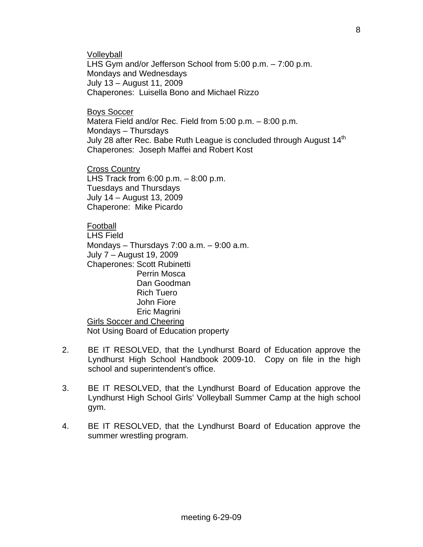**Volleyball** 

 LHS Gym and/or Jefferson School from 5:00 p.m. – 7:00 p.m. Mondays and Wednesdays July 13 – August 11, 2009 Chaperones: Luisella Bono and Michael Rizzo

Boys Soccer

 Matera Field and/or Rec. Field from 5:00 p.m. – 8:00 p.m. Mondays – Thursdays July 28 after Rec. Babe Ruth League is concluded through August 14<sup>th</sup> Chaperones: Joseph Maffei and Robert Kost

Cross Country LHS Track from  $6:00$  p.m.  $-8:00$  p.m. Tuesdays and Thursdays July 14 – August 13, 2009 Chaperone: Mike Picardo

# Football

 LHS Field Mondays – Thursdays 7:00 a.m. – 9:00 a.m. July 7 – August 19, 2009 Chaperones: Scott Rubinetti Perrin Mosca Dan Goodman Rich Tuero John Fiore Eric Magrini Girls Soccer and Cheering Not Using Board of Education property

- 2. BE IT RESOLVED, that the Lyndhurst Board of Education approve the Lyndhurst High School Handbook 2009-10. Copy on file in the high school and superintendent's office.
- 3. BE IT RESOLVED, that the Lyndhurst Board of Education approve the Lyndhurst High School Girls' Volleyball Summer Camp at the high school gym.
- 4. BE IT RESOLVED, that the Lyndhurst Board of Education approve the summer wrestling program.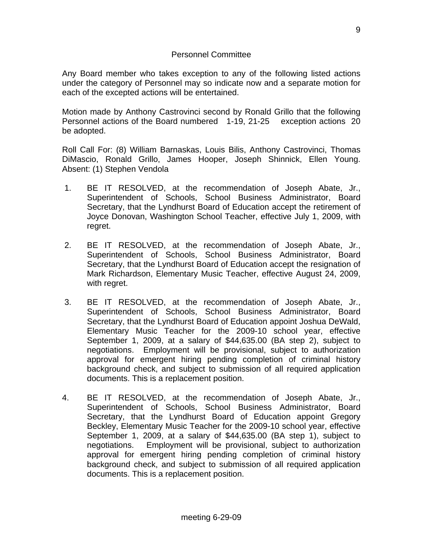# Personnel Committee

Any Board member who takes exception to any of the following listed actions under the category of Personnel may so indicate now and a separate motion for each of the excepted actions will be entertained.

Motion made by Anthony Castrovinci second by Ronald Grillo that the following Personnel actions of the Board numbered 1-19, 21-25 exception actions 20 be adopted.

Roll Call For: (8) William Barnaskas, Louis Bilis, Anthony Castrovinci, Thomas DiMascio, Ronald Grillo, James Hooper, Joseph Shinnick, Ellen Young. Absent: (1) Stephen Vendola

- 1. BE IT RESOLVED, at the recommendation of Joseph Abate, Jr., Superintendent of Schools, School Business Administrator, Board Secretary, that the Lyndhurst Board of Education accept the retirement of Joyce Donovan, Washington School Teacher, effective July 1, 2009, with regret.
- 2. BE IT RESOLVED, at the recommendation of Joseph Abate, Jr., Superintendent of Schools, School Business Administrator, Board Secretary, that the Lyndhurst Board of Education accept the resignation of Mark Richardson, Elementary Music Teacher, effective August 24, 2009, with regret.
- 3. BE IT RESOLVED, at the recommendation of Joseph Abate, Jr., Superintendent of Schools, School Business Administrator, Board Secretary, that the Lyndhurst Board of Education appoint Joshua DeWald, Elementary Music Teacher for the 2009-10 school year, effective September 1, 2009, at a salary of \$44,635.00 (BA step 2), subject to negotiations. Employment will be provisional, subject to authorization approval for emergent hiring pending completion of criminal history background check, and subject to submission of all required application documents. This is a replacement position.
- 4. BE IT RESOLVED, at the recommendation of Joseph Abate, Jr., Superintendent of Schools, School Business Administrator, Board Secretary, that the Lyndhurst Board of Education appoint Gregory Beckley, Elementary Music Teacher for the 2009-10 school year, effective September 1, 2009, at a salary of \$44,635.00 (BA step 1), subject to negotiations. Employment will be provisional, subject to authorization approval for emergent hiring pending completion of criminal history background check, and subject to submission of all required application documents. This is a replacement position.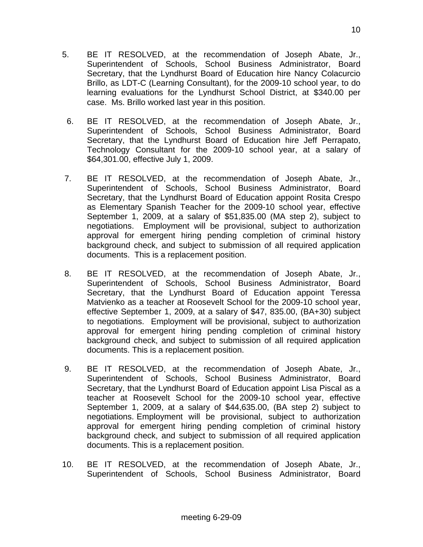- 5. BE IT RESOLVED, at the recommendation of Joseph Abate, Jr., Superintendent of Schools, School Business Administrator, Board Secretary, that the Lyndhurst Board of Education hire Nancy Colacurcio Brillo, as LDT-C (Learning Consultant), for the 2009-10 school year, to do learning evaluations for the Lyndhurst School District, at \$340.00 per case. Ms. Brillo worked last year in this position.
- 6. BE IT RESOLVED, at the recommendation of Joseph Abate, Jr., Superintendent of Schools, School Business Administrator, Board Secretary, that the Lyndhurst Board of Education hire Jeff Perrapato, Technology Consultant for the 2009-10 school year, at a salary of \$64,301.00, effective July 1, 2009.
- 7. BE IT RESOLVED, at the recommendation of Joseph Abate, Jr., Superintendent of Schools, School Business Administrator, Board Secretary, that the Lyndhurst Board of Education appoint Rosita Crespo as Elementary Spanish Teacher for the 2009-10 school year, effective September 1, 2009, at a salary of \$51,835.00 (MA step 2), subject to negotiations. Employment will be provisional, subject to authorization approval for emergent hiring pending completion of criminal history background check, and subject to submission of all required application documents. This is a replacement position.
- 8. BE IT RESOLVED, at the recommendation of Joseph Abate, Jr., Superintendent of Schools, School Business Administrator, Board Secretary, that the Lyndhurst Board of Education appoint Teressa Matvienko as a teacher at Roosevelt School for the 2009-10 school year, effective September 1, 2009, at a salary of \$47, 835.00, (BA+30) subject to negotiations. Employment will be provisional, subject to authorization approval for emergent hiring pending completion of criminal history background check, and subject to submission of all required application documents. This is a replacement position.
- 9. BE IT RESOLVED, at the recommendation of Joseph Abate, Jr., Superintendent of Schools, School Business Administrator, Board Secretary, that the Lyndhurst Board of Education appoint Lisa Piscal as a teacher at Roosevelt School for the 2009-10 school year, effective September 1, 2009, at a salary of \$44,635.00, (BA step 2) subject to negotiations. Employment will be provisional, subject to authorization approval for emergent hiring pending completion of criminal history background check, and subject to submission of all required application documents. This is a replacement position.
- 10. BE IT RESOLVED, at the recommendation of Joseph Abate, Jr., Superintendent of Schools, School Business Administrator, Board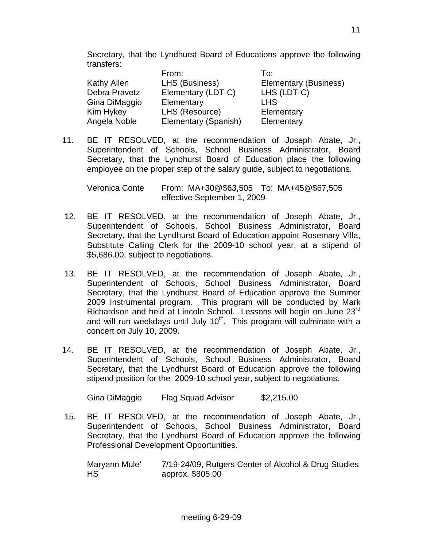Secretary, that the Lyndhurst Board of Educations approve the following transfers:

|               | From:                | To:                   |
|---------------|----------------------|-----------------------|
| Kathy Allen   | LHS (Business)       | Elementary (Business) |
| Debra Pravetz | Elementary (LDT-C)   | LHS (LDT-C)           |
| Gina DiMaggio | Elementary           | <b>LHS</b>            |
| Kim Hykey     | LHS (Resource)       | Elementary            |
| Angela Noble  | Elementary (Spanish) | Elementary            |

11. BE IT RESOLVED, at the recommendation of Joseph Abate, Jr., Superintendent of Schools, School Business Administrator, Board Secretary, that the Lyndhurst Board of Education place the following employee on the proper step of the salary guide, subject to negotiations.

 Veronica Conte From: MA+30@\$63,505 To: MA+45@\$67,505 effective September 1, 2009

- 12. BE IT RESOLVED, at the recommendation of Joseph Abate, Jr., Superintendent of Schools, School Business Administrator, Board Secretary, that the Lyndhurst Board of Education appoint Rosemary Villa, Substitute Calling Clerk for the 2009-10 school year, at a stipend of \$5,686.00, subject to negotiations.
- 13. BE IT RESOLVED, at the recommendation of Joseph Abate, Jr., Superintendent of Schools, School Business Administrator, Board Secretary, that the Lyndhurst Board of Education approve the Summer 2009 Instrumental program. This program will be conducted by Mark Richardson and held at Lincoln School. Lessons will begin on June 23<sup>rd</sup> and will run weekdays until July  $10<sup>th</sup>$ . This program will culminate with a concert on July 10, 2009.
- 14. BE IT RESOLVED, at the recommendation of Joseph Abate, Jr., Superintendent of Schools, School Business Administrator, Board Secretary, that the Lyndhurst Board of Education approve the following stipend position for the 2009-10 school year, subject to negotiations.

Gina DiMaggio Flag Squad Advisor \$2,215.00

 15. BE IT RESOLVED, at the recommendation of Joseph Abate, Jr., Superintendent of Schools, School Business Administrator, Board Secretary, that the Lyndhurst Board of Education approve the following Professional Development Opportunities.

 Maryann Mule' 7/19-24/09, Rutgers Center of Alcohol & Drug Studies HS approx. \$805.00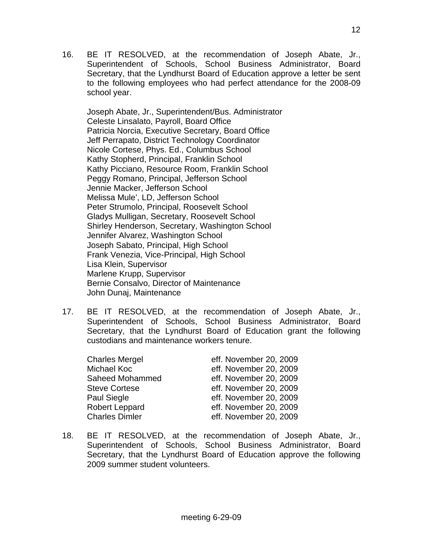16. BE IT RESOLVED, at the recommendation of Joseph Abate, Jr., Superintendent of Schools, School Business Administrator, Board Secretary, that the Lyndhurst Board of Education approve a letter be sent to the following employees who had perfect attendance for the 2008-09 school year.

Joseph Abate, Jr., Superintendent/Bus. Administrator Celeste Linsalato, Payroll, Board Office Patricia Norcia, Executive Secretary, Board Office Jeff Perrapato, District Technology Coordinator Nicole Cortese, Phys. Ed., Columbus School Kathy Stopherd, Principal, Franklin School Kathy Picciano, Resource Room, Franklin School Peggy Romano, Principal, Jefferson School Jennie Macker, Jefferson School Melissa Mule', LD, Jefferson School Peter Strumolo, Principal, Roosevelt School Gladys Mulligan, Secretary, Roosevelt School Shirley Henderson, Secretary, Washington School Jennifer Alvarez, Washington School Joseph Sabato, Principal, High School Frank Venezia, Vice-Principal, High School Lisa Klein, Supervisor Marlene Krupp, Supervisor Bernie Consalvo, Director of Maintenance John Dunaj, Maintenance

17. BE IT RESOLVED, at the recommendation of Joseph Abate, Jr., Superintendent of Schools, School Business Administrator, Board Secretary, that the Lyndhurst Board of Education grant the following custodians and maintenance workers tenure.

| <b>Charles Mergel</b> | eff. November 20, 2009 |
|-----------------------|------------------------|
| Michael Koc           | eff. November 20, 2009 |
| Saheed Mohammed       | eff. November 20, 2009 |
| <b>Steve Cortese</b>  | eff. November 20, 2009 |
| Paul Siegle           | eff. November 20, 2009 |
| <b>Robert Leppard</b> | eff. November 20, 2009 |
| <b>Charles Dimler</b> | eff. November 20, 2009 |

18. BE IT RESOLVED, at the recommendation of Joseph Abate, Jr., Superintendent of Schools, School Business Administrator, Board Secretary, that the Lyndhurst Board of Education approve the following 2009 summer student volunteers.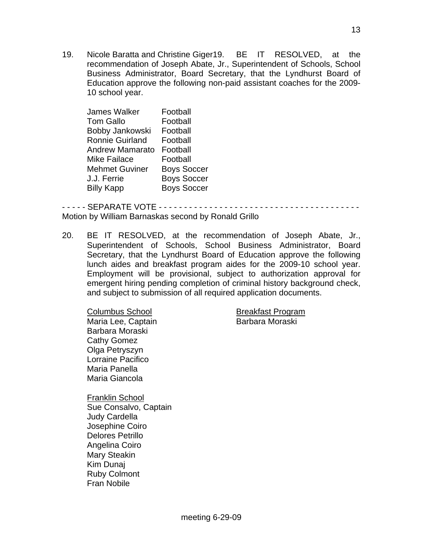19. Nicole Baratta and Christine Giger19. BE IT RESOLVED, at the recommendation of Joseph Abate, Jr., Superintendent of Schools, School Business Administrator, Board Secretary, that the Lyndhurst Board of Education approve the following non-paid assistant coaches for the 2009- 10 school year.

| <b>James Walker</b>    | Football           |
|------------------------|--------------------|
| <b>Tom Gallo</b>       | Football           |
| Bobby Jankowski        | Football           |
| <b>Ronnie Guirland</b> | Football           |
| <b>Andrew Mamarato</b> | Football           |
| <b>Mike Failace</b>    | Football           |
| <b>Mehmet Guviner</b>  | <b>Boys Soccer</b> |
| J.J. Ferrie            | <b>Boys Soccer</b> |
| <b>Billy Kapp</b>      | <b>Boys Soccer</b> |

- - - - - SEPARATE VOTE - - - - - - - - - - - - - - - - - - - - - - - - - - - - - - - - - - - - - - - - Motion by William Barnaskas second by Ronald Grillo

20. BE IT RESOLVED, at the recommendation of Joseph Abate, Jr., Superintendent of Schools, School Business Administrator, Board Secretary, that the Lyndhurst Board of Education approve the following lunch aides and breakfast program aides for the 2009-10 school year. Employment will be provisional, subject to authorization approval for emergent hiring pending completion of criminal history background check, and subject to submission of all required application documents.

Columbus School **Breakfast Program** Maria Lee, Captain **Barbara Moraski**  Barbara Moraski Cathy Gomez Olga Petryszyn Lorraine Pacifico Maria Panella Maria Giancola

Franklin School Sue Consalvo, Captain Judy Cardella Josephine Coiro Delores Petrillo Angelina Coiro Mary Steakin Kim Dunaj Ruby Colmont Fran Nobile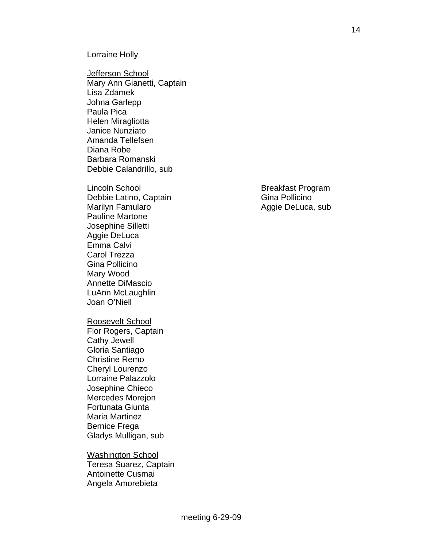#### Lorraine Holly

Jefferson School Mary Ann Gianetti, Captain Lisa Zdamek Johna Garlepp Paula Pica Helen Miragliotta Janice Nunziato Amanda Tellefsen Diana Robe Barbara Romanski Debbie Calandrillo, sub

Debbie Latino, Captain Gina Pollicino Marilyn Famularo **Aggie DeLuca**, sub Pauline Martone Josephine Silletti Aggie DeLuca Emma Calvi Carol Trezza Gina Pollicino Mary Wood Annette DiMascio LuAnn McLaughlin Joan O'Niell

#### Roosevelt School

 Flor Rogers, Captain Cathy Jewell Gloria Santiago Christine Remo Cheryl Lourenzo Lorraine Palazzolo Josephine Chieco Mercedes Morejon Fortunata Giunta Maria Martinez Bernice Frega Gladys Mulligan, sub

#### **Washington School**  Teresa Suarez, Captain Antoinette Cusmai Angela Amorebieta

# Lincoln School **Breakfast Program**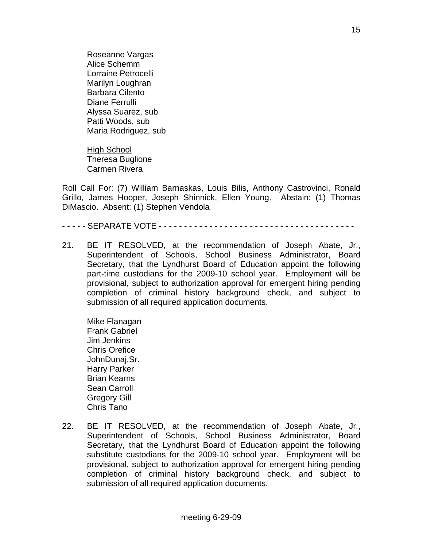Roseanne Vargas Alice Schemm Lorraine Petrocelli Marilyn Loughran Barbara Cilento Diane Ferrulli Alyssa Suarez, sub Patti Woods, sub Maria Rodriguez, sub

High School Theresa Buglione Carmen Rivera

Roll Call For: (7) William Barnaskas, Louis Bilis, Anthony Castrovinci, Ronald Grillo, James Hooper, Joseph Shinnick, Ellen Young. Abstain: (1) Thomas DiMascio. Absent: (1) Stephen Vendola

- - - - - SEPARATE VOTE - - - - - - - - - - - - - - - - - - - - - - - - - - - - - - - - - - - - - - -

21. BE IT RESOLVED, at the recommendation of Joseph Abate, Jr., Superintendent of Schools, School Business Administrator, Board Secretary, that the Lyndhurst Board of Education appoint the following part-time custodians for the 2009-10 school year. Employment will be provisional, subject to authorization approval for emergent hiring pending completion of criminal history background check, and subject to submission of all required application documents.

 Mike Flanagan Frank Gabriel Jim Jenkins Chris Orefice JohnDunaj,Sr. Harry Parker Brian Kearns Sean Carroll Gregory Gill Chris Tano

22. BE IT RESOLVED, at the recommendation of Joseph Abate, Jr., Superintendent of Schools, School Business Administrator, Board Secretary, that the Lyndhurst Board of Education appoint the following substitute custodians for the 2009-10 school year. Employment will be provisional, subject to authorization approval for emergent hiring pending completion of criminal history background check, and subject to submission of all required application documents.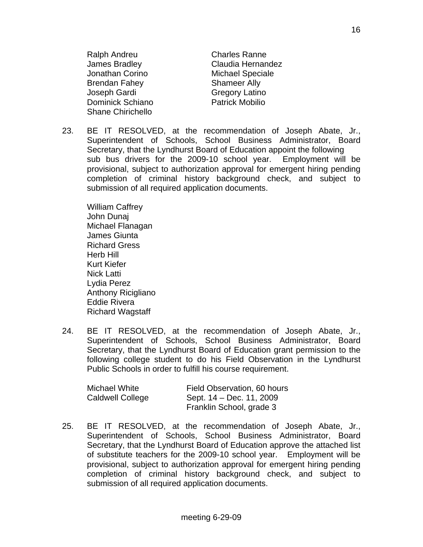Ralph Andreu **Charles Ranne**  James Bradley Claudia Hernandez Jonathan Corino **Michael Speciale** Brendan Fahey Shameer Ally Joseph Gardi Gregory Latino Dominick Schiano Patrick Mobilio Shane Chirichello

23. BE IT RESOLVED, at the recommendation of Joseph Abate, Jr., Superintendent of Schools, School Business Administrator, Board Secretary, that the Lyndhurst Board of Education appoint the following sub bus drivers for the 2009-10 school year. Employment will be provisional, subject to authorization approval for emergent hiring pending completion of criminal history background check, and subject to submission of all required application documents.

 William Caffrey John Dunaj Michael Flanagan James Giunta Richard Gress Herb Hill Kurt Kiefer Nick Latti Lydia Perez Anthony Ricigliano Eddie Rivera Richard Wagstaff

24. BE IT RESOLVED, at the recommendation of Joseph Abate, Jr., Superintendent of Schools, School Business Administrator, Board Secretary, that the Lyndhurst Board of Education grant permission to the following college student to do his Field Observation in the Lyndhurst Public Schools in order to fulfill his course requirement.

| Michael White           | Field Observation, 60 hours |
|-------------------------|-----------------------------|
| <b>Caldwell College</b> | Sept. 14 – Dec. 11, 2009    |
|                         | Franklin School, grade 3    |

25. BE IT RESOLVED, at the recommendation of Joseph Abate, Jr., Superintendent of Schools, School Business Administrator, Board Secretary, that the Lyndhurst Board of Education approve the attached list of substitute teachers for the 2009-10 school year. Employment will be provisional, subject to authorization approval for emergent hiring pending completion of criminal history background check, and subject to submission of all required application documents.